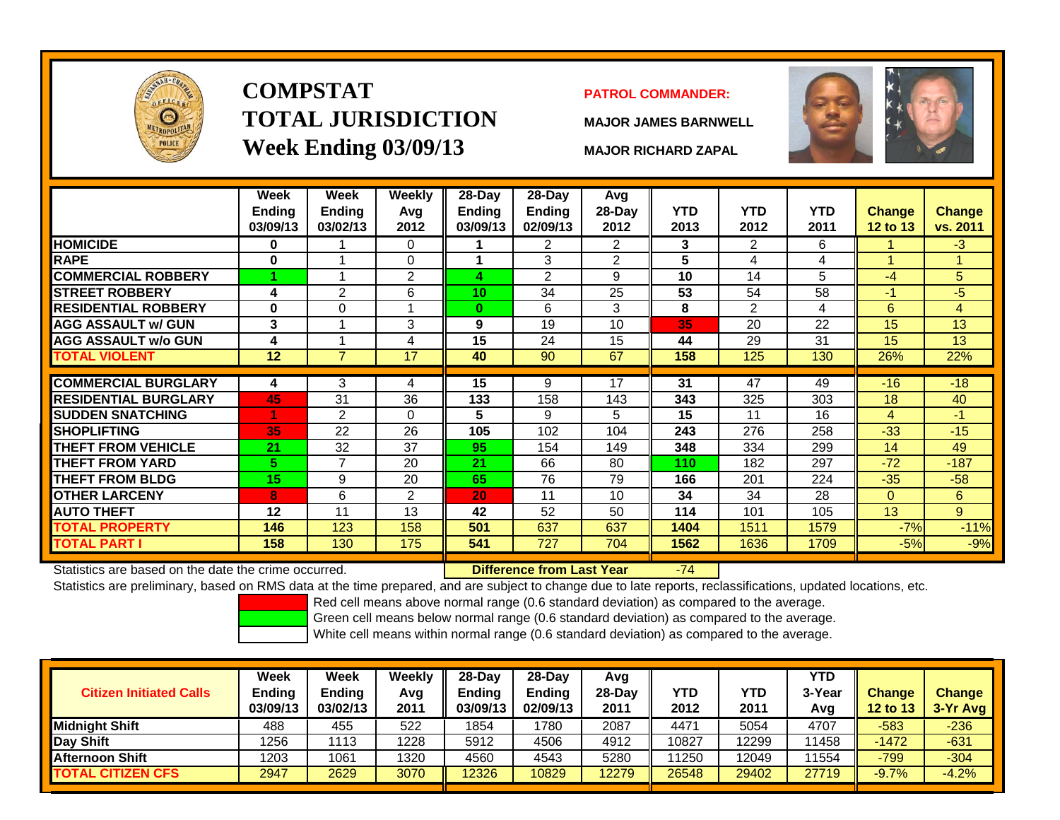

# **COMPSTATTOTAL JURISDICTIONWeek Ending 03/09/13 MAJOR RICHARD ZAPAL**

## **PATROL COMMANDER:**

**MAJOR JAMES BARNWELL**



|                                                      | Week<br><b>Ending</b><br>03/09/13 | Week<br>Ending<br>03/02/13 | <b>Weekly</b><br>Avg<br>2012 | 28-Day<br>Ending<br>03/09/13 | 28-Day<br><b>Ending</b><br>02/09/13 | Avg<br>28-Day<br>2012 | <b>YTD</b><br>2013 | <b>YTD</b><br>2012 | <b>YTD</b><br>2011 | <b>Change</b><br>12 to 13 | <b>Change</b><br>vs. 2011 |
|------------------------------------------------------|-----------------------------------|----------------------------|------------------------------|------------------------------|-------------------------------------|-----------------------|--------------------|--------------------|--------------------|---------------------------|---------------------------|
| <b>HOMICIDE</b>                                      | $\bf{0}$                          |                            | 0                            |                              | $\mathbf{2}^{\prime}$               | $\overline{2}$        | 3                  | 2                  | 6                  |                           | $-3$                      |
| <b>RAPE</b>                                          | 0                                 |                            | 0                            |                              | 3                                   | $\overline{2}$        | 5                  | 4                  | 4                  |                           |                           |
| <b>COMMERCIAL ROBBERY</b>                            |                                   |                            | $\overline{2}$               | 4                            | $\overline{2}$                      | 9                     | 10                 | 14                 | 5                  | $-4$                      | 5                         |
| <b>STREET ROBBERY</b>                                | 4                                 | 2                          | 6                            | 10                           | 34                                  | 25                    | 53                 | 54                 | 58                 | $-1$                      | $-5$                      |
| <b>RESIDENTIAL ROBBERY</b>                           | 0                                 | $\Omega$                   | $\overline{A}$               | $\bf{0}$                     | 6                                   | 3                     | 8                  | 2                  | 4                  | 6                         | 4                         |
| <b>AGG ASSAULT w/ GUN</b>                            | 3                                 |                            | 3                            | 9                            | 19                                  | 10                    | 35                 | 20                 | 22                 | 15                        | 13                        |
| <b>AGG ASSAULT w/o GUN</b>                           | 4                                 |                            | 4                            | 15                           | 24                                  | 15                    | 44                 | 29                 | 31                 | 15                        | 13                        |
| <b>TOTAL VIOLENT</b>                                 | 12                                | $\overline{7}$             | 17                           | 40                           | 90                                  | 67                    | 158                | 125                | 130                | 26%                       | 22%                       |
|                                                      |                                   |                            |                              |                              |                                     |                       |                    |                    |                    |                           |                           |
| <b>COMMERCIAL BURGLARY</b>                           | 4                                 | 3                          | 4                            | 15                           | 9                                   | 17                    | $\overline{31}$    | 47                 | 49                 | $-16$                     | $-18$                     |
| <b>RESIDENTIAL BURGLARY</b>                          | 45                                | 31                         | 36                           | 133                          | 158                                 | 143                   | 343                | 325                | 303                | 18                        | 40                        |
| <b>SUDDEN SNATCHING</b>                              |                                   | $\overline{2}$             | $\mathbf 0$                  | 5                            | 9                                   | 5                     | 15                 | 11                 | 16                 | 4                         | $-1$                      |
| <b>SHOPLIFTING</b>                                   | 35                                | 22                         | 26                           | 105                          | 102                                 | 104                   | 243                | 276                | 258                | $-33$                     | $-15$                     |
| <b>THEFT FROM VEHICLE</b>                            | 21                                | 32                         | 37                           | 95                           | 154                                 | 149                   | 348                | 334                | 299                | 14                        | 49                        |
| <b>THEFT FROM YARD</b>                               | 5                                 | $\overline{7}$             | 20                           | 21                           | 66                                  | 80                    | 110                | 182                | 297                | $-72$                     | $-187$                    |
| <b>THEFT FROM BLDG</b>                               | 15                                | 9                          | 20                           | 65                           | 76                                  | 79                    | 166                | 201                | 224                | $-35$                     | $-58$                     |
| <b>OTHER LARCENY</b>                                 | 8                                 | 6                          | $\overline{2}$               | 20                           | 11                                  | 10                    | 34                 | 34                 | 28                 | $\mathbf{0}$              | 6                         |
| <b>AUTO THEFT</b>                                    | 12                                | 11                         | 13                           | 42                           | 52                                  | 50                    | 114                | 101                | 105                | 13                        | 9                         |
| <b>TOTAL PROPERTY</b>                                | 146                               | 123                        | 158                          | 501                          | 637                                 | 637                   | 1404               | 1511               | 1579               | $-7%$                     | $-11%$                    |
| TOTAL PART I                                         | 158                               | 130                        | 175                          | 541                          | 727                                 | 704                   | 1562               | 1636               | 1709               | $-5%$                     | $-9%$                     |
| Statistics are based on the date the crime occurred. |                                   |                            |                              |                              | <b>Difference from Last Year</b>    |                       | $-74$              |                    |                    |                           |                           |

Statistics are based on the date the crime occurred. **Difference from Last Year** 

Statistics are preliminary, based on RMS data at the time prepared, and are subject to change due to late reports, reclassifications, updated locations, etc.

Red cell means above normal range (0.6 standard deviation) as compared to the average.

Green cell means below normal range (0.6 standard deviation) as compared to the average.

| <b>Citizen Initiated Calls</b> | Week<br><b>Ending</b><br>03/09/13 | <b>Week</b><br><b>Ending</b><br>03/02/13 | Weekly<br>Avg<br>2011 | $28-Dav$<br>Ending<br>03/09/13 | 28-Dav<br><b>Ending</b><br>02/09/13 | Avg<br>28-Dav<br>2011 | YTD<br>2012 | YTD<br>2011 | <b>YTD</b><br>3-Year<br>Avg | <b>Change</b><br><b>12 to 13</b> | <b>Change</b><br>3-Yr Avg |
|--------------------------------|-----------------------------------|------------------------------------------|-----------------------|--------------------------------|-------------------------------------|-----------------------|-------------|-------------|-----------------------------|----------------------------------|---------------------------|
| Midnight Shift                 | 488                               | 455                                      | 522                   | 1854                           | 1780                                | 2087                  | 4471        | 5054        | 4707                        | $-583$                           | $-236$                    |
| Day Shift                      | 1256                              | 1113                                     | 1228                  | 5912                           | 4506                                | 4912                  | 10827       | 12299       | 11458                       | $-1472$                          | $-631$                    |
| <b>Afternoon Shift</b>         | 1203                              | 1061                                     | 1320                  | 4560                           | 4543                                | 5280                  | 11250       | 12049       | 11554                       | $-799$                           | $-304$                    |
| <b>TOTAL CITIZEN CFS</b>       | 2947                              | 2629                                     | 3070                  | 12326                          | 10829                               | 12279                 | 26548       | 29402       | 27719                       | $-9.7%$                          | $-4.2%$                   |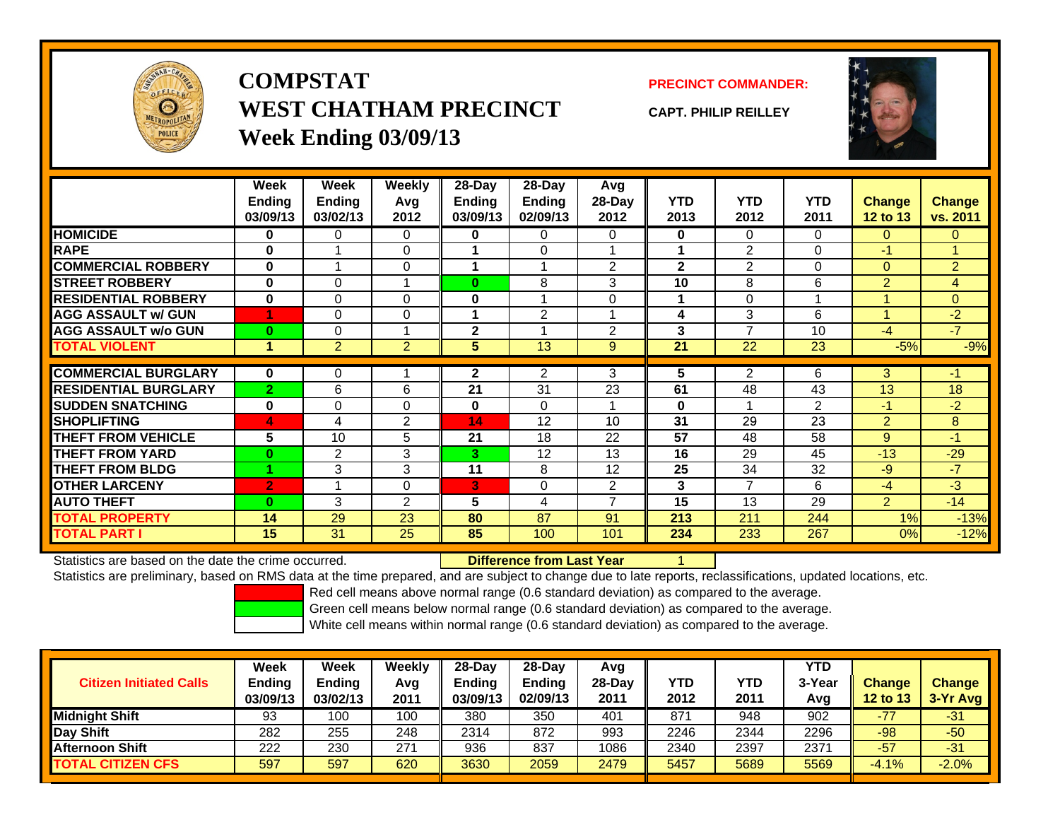

**COMPSTATWEST CHATHAM PRECINCTWeek Ending 03/09/13**

**PRECINCT COMMANDER:**

**CAPT. PHILIP REILLEY**



|                             | Week           | Week                 | <b>Weekly</b>  | 28-Day          | 28-Day         | <b>Avg</b>     |              |                |                |                |                |
|-----------------------------|----------------|----------------------|----------------|-----------------|----------------|----------------|--------------|----------------|----------------|----------------|----------------|
|                             | <b>Ending</b>  | <b>Ending</b>        | Avg            | <b>Ending</b>   | Ending         | $28-Day$       | <b>YTD</b>   | <b>YTD</b>     | <b>YTD</b>     | Change         | Change         |
|                             | 03/09/13       | 03/02/13             | 2012           | 03/09/13        | 02/09/13       | 2012           | 2013         | 2012           | 2011           | 12 to 13       | vs. 2011       |
| <b>HOMICIDE</b>             | 0              | 0                    | $\Omega$       | 0               | 0              | 0              | $\mathbf 0$  | $\Omega$       | 0              | $\Omega$       | 0              |
| <b>RAPE</b>                 | 0              |                      | $\Omega$       |                 | $\Omega$       |                | 1            | $\overline{2}$ | $\Omega$       | $-1$           |                |
| <b>COMMERCIAL ROBBERY</b>   | $\bf{0}$       |                      | 0              |                 |                | 2              | $\mathbf{2}$ | $\overline{2}$ | $\Omega$       | $\Omega$       | $\overline{2}$ |
| <b>STREET ROBBERY</b>       | $\bf{0}$       | $\Omega$             | 1              | $\bf{0}$        | 8              | 3              | 10           | 8              | 6              | $\overline{2}$ | 4              |
| <b>RESIDENTIAL ROBBERY</b>  | $\bf{0}$       | $\Omega$             | 0              | 0               |                | $\Omega$       | 1            | $\Omega$       |                |                | $\overline{0}$ |
| <b>AGG ASSAULT w/ GUN</b>   | 1              | $\Omega$             | 0              |                 | $\overline{2}$ |                | 4            | 3              | 6              |                | $-2$           |
| <b>AGG ASSAULT w/o GUN</b>  | $\bf{0}$       | 0                    | 4              | $\mathbf{2}$    |                | $\overline{2}$ | 3            | $\overline{ }$ | 10             | $-4$           | $-7$           |
| <b>TOTAL VIOLENT</b>        | 1              | $\overline{2}$       | $\overline{2}$ | 5               | 13             | 9              | 21           | 22             | 23             | $-5%$          | $-9%$          |
|                             |                |                      |                |                 |                |                |              |                |                |                |                |
| <b>COMMERCIAL BURGLARY</b>  | $\bf{0}$       | 0                    |                | $\mathbf{2}$    | 2              | 3              | 5            | $\overline{2}$ | 6              | 3              | $-1$           |
| <b>RESIDENTIAL BURGLARY</b> | $\overline{2}$ | 6                    | 6              | 21              | 31             | 23             | 61           | 48             | 43             | 13             | 18             |
| <b>SUDDEN SNATCHING</b>     | $\bf{0}$       | $\Omega$             | $\Omega$       | 0               | $\Omega$       |                | $\mathbf{0}$ |                | $\overline{2}$ | $-1$           | $-2$           |
| <b>SHOPLIFTING</b>          | 4              | 4                    | 2              | 14              | 12             | 10             | 31           | 29             | 23             | $\overline{2}$ | 8              |
| <b>THEFT FROM VEHICLE</b>   | 5              | 10                   | 5              | 21              | 18             | 22             | 57           | 48             | 58             | 9              | $-1$           |
| <b>THEFT FROM YARD</b>      | $\bf{0}$       | $\overline{2}$       | 3              | 3               | 12             | 13             | 16           | 29             | 45             | $-13$          | $-29$          |
| <b>THEFT FROM BLDG</b>      |                | 3                    | 3              | 11              | 8              | 12             | 25           | 34             | 32             | $-9$           | $-7$           |
| <b>OTHER LARCENY</b>        | $\overline{2}$ | $\blacktriangleleft$ | 0              | 3               | 0              | 2              | 3            | $\overline{7}$ | 6              | $-4$           | $-3$           |
| <b>AUTO THEFT</b>           | $\bf{0}$       | 3                    | $\overline{2}$ | $5\phantom{.0}$ | 4              | 7              | 15           | 13             | 29             | $\overline{2}$ | $-14$          |
| <b>TOTAL PROPERTY</b>       | 14             | 29                   | 23             | 80              | 87             | 91             | 213          | 211            | 244            | 1%             | $-13%$         |
| <b>TOTAL PART I</b>         | 15             | 31                   | 25             | 85              | 100            | 101            | 234          | 233            | 267            | 0%             | $-12%$         |

Statistics are based on the date the crime occurred.

**Difference from Last Year** 

Statistics are preliminary, based on RMS data at the time prepared, and are subject to change due to late reports, reclassifications, updated locations, etc.

Red cell means above normal range (0.6 standard deviation) as compared to the average.

Green cell means below normal range (0.6 standard deviation) as compared to the average.

| <b>Citizen Initiated Calls</b> | Week<br><b>Ending</b><br>03/09/13 | <b>Week</b><br><b>Ending</b><br>03/02/13 | Weekly<br>Avg<br>2011 | $28-Day$<br>Ending<br>03/09/13 | 28-Dav<br><b>Ending</b><br>02/09/13 | Avg<br>$28-Dav$<br>2011 | YTD<br>2012 | YTD<br>2011 | YTD<br>3-Year<br>Avg | <b>Change</b><br>12 to 13 | <b>Change</b><br>3-Yr Avg |
|--------------------------------|-----------------------------------|------------------------------------------|-----------------------|--------------------------------|-------------------------------------|-------------------------|-------------|-------------|----------------------|---------------------------|---------------------------|
| <b>Midnight Shift</b>          | 93                                | 100                                      | 100                   | 380                            | 350                                 | 401                     | 871         | 948         | 902                  | $-77$                     | $-31$                     |
| Day Shift                      | 282                               | 255                                      | 248                   | 2314                           | 872                                 | 993                     | 2246        | 2344        | 2296                 | -98                       | $-50$                     |
| <b>Afternoon Shift</b>         | 222                               | 230                                      | 271                   | 936                            | 837                                 | 1086                    | 2340        | 2397        | 2371                 | $-57$                     | $-31$                     |
| <b>TOTAL CITIZEN CFS</b>       | 597                               | 597                                      | 620                   | 3630                           | 2059                                | 2479                    | 5457        | 5689        | 5569                 | $-4.1%$                   | $-2.0%$                   |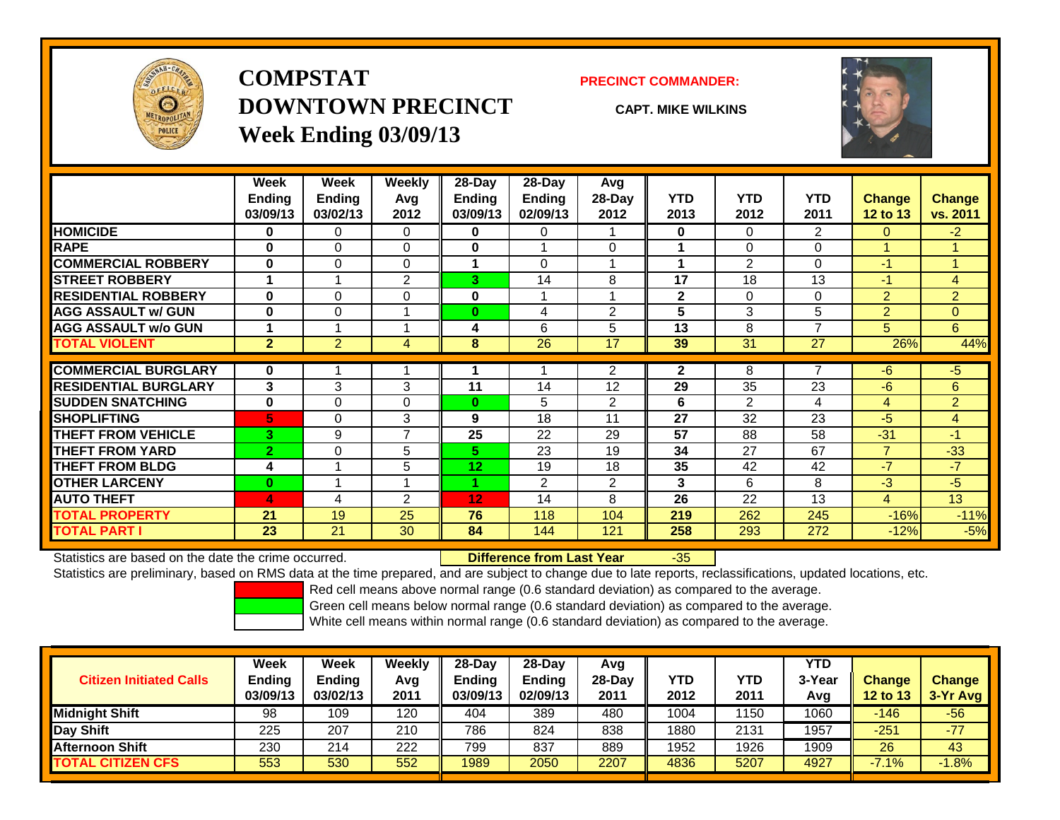

## **COMPSTATDOWNTOWN PRECINCTWeek Ending 03/09/13**

### **PRECINCT COMMANDER:**

**CAPT. MIKE WILKINS**



|                             | Week           | Week           | Weekly         | $28-Day$    | $28$ -Day      | Avg            |              |                |                |                 |                |
|-----------------------------|----------------|----------------|----------------|-------------|----------------|----------------|--------------|----------------|----------------|-----------------|----------------|
|                             | <b>Ending</b>  | <b>Ending</b>  | Avg            | Ending      | <b>Ending</b>  | 28-Day         | <b>YTD</b>   | <b>YTD</b>     | <b>YTD</b>     | <b>Change</b>   | Change         |
|                             | 03/09/13       | 03/02/13       | 2012           | 03/09/13    | 02/09/13       | 2012           | 2013         | 2012           | 2011           | <b>12 to 13</b> | vs. 2011       |
| <b>HOMICIDE</b>             | $\bf{0}$       | 0              | 0              | 0           | 0              |                | $\mathbf 0$  | $\Omega$       | $\overline{2}$ | $\Omega$        | $-2$           |
| <b>RAPE</b>                 | $\bf{0}$       | 0              | $\Omega$       | 0           |                | $\Omega$       |              | 0              | 0              |                 |                |
| <b>COMMERCIAL ROBBERY</b>   | $\bf{0}$       | 0              | $\Omega$       |             | $\Omega$       | 4              |              | 2              | 0              | $-1$            |                |
| <b>STREET ROBBERY</b>       |                |                | $\overline{2}$ | 3           | 14             | 8              | 17           | 18             | 13             | $-1$            | 4              |
| <b>RESIDENTIAL ROBBERY</b>  | $\bf{0}$       | 0              | 0              | $\mathbf 0$ |                | 1              | $\mathbf{2}$ | $\Omega$       | 0              | $\overline{2}$  | $\overline{2}$ |
| <b>AGG ASSAULT w/ GUN</b>   | $\bf{0}$       | $\Omega$       | 1              | $\bf{0}$    | 4              | $\overline{2}$ | 5            | 3              | 5              | $\overline{2}$  | $\Omega$       |
| <b>AGG ASSAULT w/o GUN</b>  |                |                | 1              | 4           | 6              | 5              | 13           | 8              | $\overline{ }$ | 5               | 6              |
| <b>TOTAL VIOLENT</b>        | $\overline{2}$ | $\overline{2}$ | 4              | 8           | 26             | 17             | 39           | 31             | 27             | 26%             | 44%            |
| <b>COMMERCIAL BURGLARY</b>  | $\bf{0}$       |                | и              |             |                | 2              | $\mathbf{2}$ | 8              | $\overline{ }$ | -6              | $-5$           |
| <b>RESIDENTIAL BURGLARY</b> | 3              | 3              | 3              | 11          | 14             | 12             | 29           | 35             | 23             | -6              | 6              |
| <b>SUDDEN SNATCHING</b>     | $\bf{0}$       | $\Omega$       | $\Omega$       | $\bf{0}$    | 5              | $\overline{2}$ | 6            | $\overline{2}$ | 4              | $\overline{4}$  | $\overline{2}$ |
| <b>SHOPLIFTING</b>          | 5              | 0              | 3              | 9           | 18             | 11             | 27           | 32             | 23             | -5              | 4              |
| <b>THEFT FROM VEHICLE</b>   | 3              | 9              | $\overline{7}$ | 25          | 22             | 29             | 57           | 88             | 58             | $-31$           | $-1$           |
| <b>THEFT FROM YARD</b>      | $\overline{2}$ | 0              | 5              | 5.          | 23             | 19             | 34           | 27             | 67             | $\overline{7}$  | $-33$          |
| <b>THEFT FROM BLDG</b>      | 4              |                | 5              | 12          | 19             | 18             | 35           | 42             | 42             | $-7$            | $-7$           |
| <b>OTHER LARCENY</b>        | $\bf{0}$       |                | 4              |             | $\overline{2}$ | $\overline{2}$ | 3            | 6              | 8              | $-3$            | $-5$           |
| <b>AUTO THEFT</b>           | 4              | 4              | $\overline{2}$ | 12          | 14             | 8              | 26           | 22             | 13             | 4               | 13             |
| <b>TOTAL PROPERTY</b>       | 21             | 19             | 25             | 76          | 118            | 104            | 219          | 262            | 245            | $-16%$          | $-11%$         |
| <b>TOTAL PART I</b>         | 23             | 21             | 30             | 84          | 144            | 121            | 258          | 293            | 272            | $-12%$          | $-5%$          |

Statistics are based on the date the crime occurred. **Difference from Last Year** 

r -35

Statistics are preliminary, based on RMS data at the time prepared, and are subject to change due to late reports, reclassifications, updated locations, etc.

Red cell means above normal range (0.6 standard deviation) as compared to the average.

Green cell means below normal range (0.6 standard deviation) as compared to the average.

| <b>Citizen Initiated Calls</b> | Week<br><b>Ending</b><br>03/09/13 | Week<br><b>Ending</b><br>03/02/13 | Weekly<br>Avg<br>2011 | $28-Day$<br>Ending<br>03/09/13 | $28-Day$<br><b>Ending</b><br>02/09/13 | Avg<br>28-Dav<br>2011 | YTD<br>2012 | <b>YTD</b><br>2011 | <b>YTD</b><br>3-Year<br>Avg | <b>Change</b><br>12 to 13 | <b>Change</b><br>$3-Yr$ Avg |
|--------------------------------|-----------------------------------|-----------------------------------|-----------------------|--------------------------------|---------------------------------------|-----------------------|-------------|--------------------|-----------------------------|---------------------------|-----------------------------|
| <b>Midnight Shift</b>          | 98                                | 109                               | 120                   | 404                            | 389                                   | 480                   | 1004        | 150                | 1060                        | $-146$                    | $-56$                       |
| Day Shift                      | 225                               | 207                               | 210                   | 786                            | 824                                   | 838                   | 1880        | 2131               | 1957                        | $-251$                    | $-77$                       |
| <b>Afternoon Shift</b>         | 230                               | 214                               | 222                   | 799                            | 837                                   | 889                   | 1952        | 1926               | 1909                        | 26                        | 43                          |
| <b>TOTAL CITIZEN CFS</b>       | 553                               | 530                               | 552                   | 1989                           | 2050                                  | 2207                  | 4836        | 5207               | 4927                        | $-7.1%$                   | $-1.8%$                     |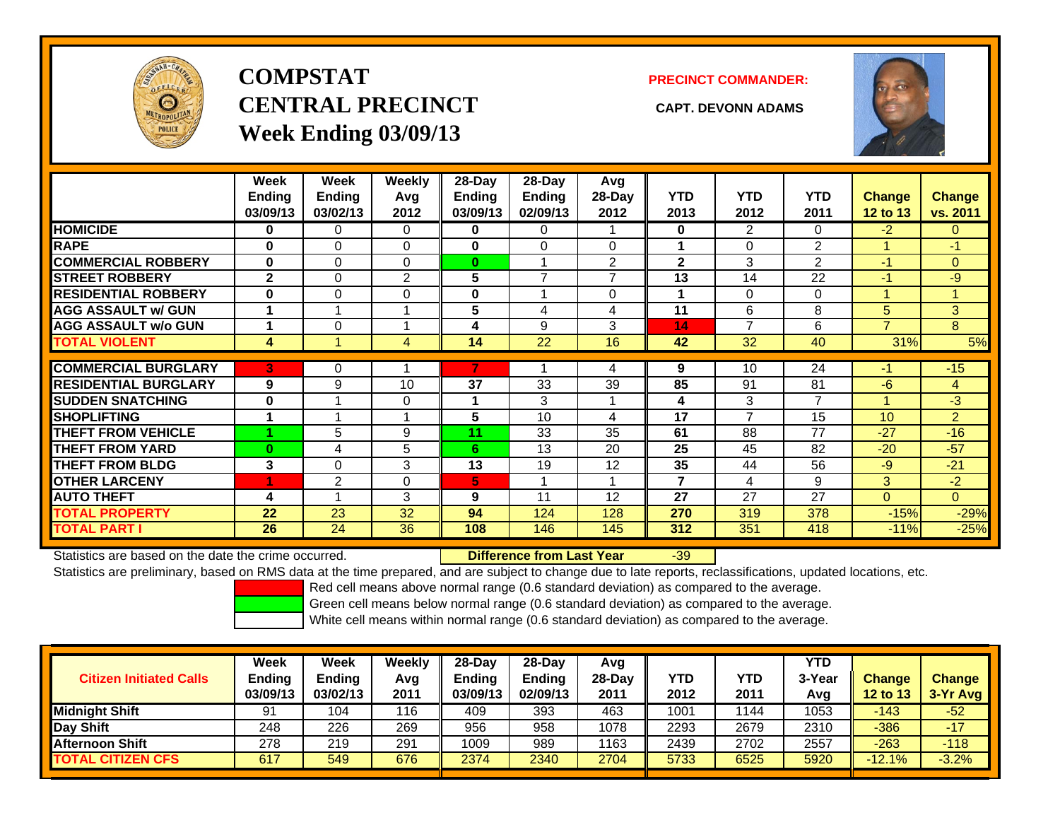

# **COMPSTATCENTRAL PRECINCT CAPT. DEVONN ADAMSWeek Ending 03/09/13**

**PRECINCT COMMANDER:**



|                             | Week<br><b>Ending</b><br>03/09/13 | Week<br><b>Ending</b><br>03/02/13 | <b>Weekly</b><br>Avg<br>2012 | 28-Day<br>Ending<br>03/09/13 | 28-Day<br><b>Ending</b><br>02/09/13 | Avg<br>$28-Day$<br>2012 | <b>YTD</b><br>2013 | <b>YTD</b><br>2012 | <b>YTD</b><br>2011 | <b>Change</b><br><b>12 to 13</b> | <b>Change</b><br>vs. 2011 |
|-----------------------------|-----------------------------------|-----------------------------------|------------------------------|------------------------------|-------------------------------------|-------------------------|--------------------|--------------------|--------------------|----------------------------------|---------------------------|
| <b>HOMICIDE</b>             | 0                                 | 0                                 | $\Omega$                     | 0                            | 0                                   |                         | $\mathbf{0}$       | $\overline{2}$     | 0                  | $-2$                             | $\overline{0}$            |
| <b>RAPE</b>                 | $\bf{0}$                          | $\Omega$                          | $\Omega$                     | 0                            | $\Omega$                            | 0                       |                    | $\Omega$           | $\overline{2}$     |                                  | $-1$                      |
| <b>COMMERCIAL ROBBERY</b>   | $\bf{0}$                          | $\Omega$                          | $\Omega$                     | $\bf{0}$                     |                                     | $\overline{2}$          | $\mathbf{2}$       | 3                  | 2                  | $-1$                             | $\overline{0}$            |
| <b>STREET ROBBERY</b>       | $\mathbf{2}$                      | $\Omega$                          | 2                            | 5                            | $\overline{ }$                      | $\overline{ }$          | 13                 | 14                 | 22                 | $-1$                             | $-9$                      |
| <b>RESIDENTIAL ROBBERY</b>  | $\bf{0}$                          | $\Omega$                          | $\Omega$                     | $\bf{0}$                     |                                     | $\Omega$                |                    | $\Omega$           | $\Omega$           |                                  |                           |
| <b>AGG ASSAULT w/ GUN</b>   |                                   |                                   |                              | 5                            | 4                                   | 4                       | 11                 | 6                  | 8                  | 5                                | 3 <sup>1</sup>            |
| <b>AGG ASSAULT w/o GUN</b>  |                                   | 0                                 |                              | 4                            | 9                                   | 3                       | 14                 | $\overline{7}$     | 6                  | $\overline{7}$                   | 8                         |
| <b>TOTAL VIOLENT</b>        | 4                                 |                                   | 4                            | 14                           | 22                                  | 16                      | 42                 | 32                 | 40                 | 31%                              | 5%                        |
| <b>COMMERCIAL BURGLARY</b>  | B                                 | 0                                 |                              |                              |                                     | 4                       | 9                  | 10                 | 24                 | $-1$                             | $-15$                     |
|                             |                                   |                                   |                              |                              |                                     |                         |                    |                    |                    |                                  |                           |
| <b>RESIDENTIAL BURGLARY</b> | 9                                 | 9                                 | 10                           | 37                           | 33                                  | 39                      | 85                 | 91                 | 81                 | $-6$                             | $\overline{4}$            |
| <b>SUDDEN SNATCHING</b>     | $\bf{0}$                          |                                   | $\Omega$                     |                              | 3                                   |                         | 4                  | 3                  | 7                  |                                  | $-3$                      |
| <b>SHOPLIFTING</b>          |                                   |                                   | $\overline{\mathbf{A}}$      | 5                            | 10                                  | 4                       | 17                 | $\overline{ }$     | 15                 | 10                               | $\overline{2}$            |
| <b>THEFT FROM VEHICLE</b>   |                                   | 5                                 | 9                            | 11                           | 33                                  | 35                      | 61                 | 88                 | 77                 | $-27$                            | $-16$                     |
| <b>THEFT FROM YARD</b>      | $\bf{0}$                          | 4                                 | 5                            | 6                            | 13                                  | 20                      | 25                 | 45                 | 82                 | $-20$                            | $-57$                     |
| <b>THEFT FROM BLDG</b>      | 3                                 | $\Omega$                          | 3                            | 13                           | 19                                  | 12                      | 35                 | 44                 | 56                 | $-9$                             | $-21$                     |
| <b>OTHER LARCENY</b>        | 1                                 | 2                                 | 0                            | 5.                           |                                     |                         | 7                  | 4                  | 9                  | 3                                | $-2$                      |
| <b>AUTO THEFT</b>           | 4                                 |                                   | 3                            | 9                            | 11                                  | 12                      | 27                 | 27                 | 27                 | $\Omega$                         | $\overline{0}$            |
| <b>TOTAL PROPERTY</b>       | 22                                | 23                                | 32                           | 94                           | 124                                 | 128                     | 270                | 319                | 378                | $-15%$                           | $-29%$                    |
| <b>TOTAL PART I</b>         | 26                                | 24                                | 36                           | 108                          | 146                                 | 145                     | 312                | 351                | 418                | $-11%$                           | $-25%$                    |

Statistics are based on the date the crime occurred. **Difference from Last Year** 

-39

Statistics are preliminary, based on RMS data at the time prepared, and are subject to change due to late reports, reclassifications, updated locations, etc.

Red cell means above normal range (0.6 standard deviation) as compared to the average.

Green cell means below normal range (0.6 standard deviation) as compared to the average.

| <b>Citizen Initiated Calls</b> | Week<br><b>Ending</b><br>03/09/13 | Week<br>Ending<br>03/02/13 | Weeklv<br>Avg<br>2011 | $28-Day$<br><b>Ending</b><br>03/09/13 | 28-Dav<br><b>Ending</b><br>02/09/13 | Avg<br>$28-Day$<br>2011 | YTD<br>2012 | YTD<br>2011 | <b>YTD</b><br>3-Year<br>Avg | <b>Change</b><br><b>12 to 13</b> | <b>Change</b><br>3-Yr Avg |
|--------------------------------|-----------------------------------|----------------------------|-----------------------|---------------------------------------|-------------------------------------|-------------------------|-------------|-------------|-----------------------------|----------------------------------|---------------------------|
| <b>Midnight Shift</b>          | 91                                | 104                        | 116                   | 409                                   | 393                                 | 463                     | 1001        | 144         | 1053                        | -143                             | $-52$                     |
| Day Shift                      | 248                               | 226                        | 269                   | 956                                   | 958                                 | 1078                    | 2293        | 2679        | 2310                        | $-386$                           | $-17$                     |
| <b>Afternoon Shift</b>         | 278                               | 219                        | 291                   | 1009                                  | 989                                 | 1163                    | 2439        | 2702        | 2557                        | $-263$                           | $-118$                    |
| <b>TOTAL CITIZEN CFS</b>       | 617                               | 549                        | 676                   | 2374                                  | 2340                                | 2704                    | 5733        | 6525        | 5920                        | $-12.1%$                         | $-3.2%$                   |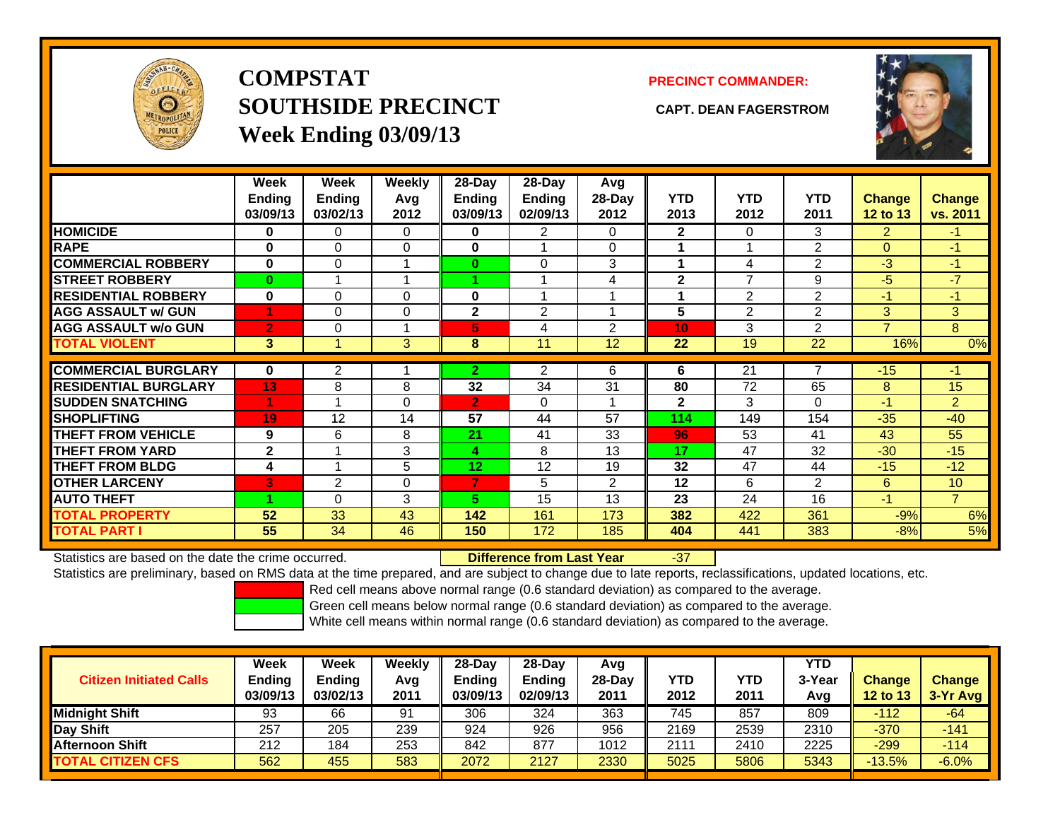

**COMPSTATSOUTHSIDE PRECINCT CAPT. DEAN FAGERSTROMWeek Ending 03/09/13**

## **PRECINCT COMMANDER:**



|                             | Week<br><b>Ending</b><br>03/09/13 | Week<br>Ending<br>03/02/13 | Weekly<br>Avg<br>2012 | 28-Day<br>Ending<br>03/09/13 | 28-Dav<br><b>Ending</b><br>02/09/13 | Avg<br>28-Day<br>2012 | <b>YTD</b><br>2013 | <b>YTD</b><br>2012 | <b>YTD</b><br>2011 | <b>Change</b><br>12 to 13 | <b>Change</b><br>vs. 2011 |
|-----------------------------|-----------------------------------|----------------------------|-----------------------|------------------------------|-------------------------------------|-----------------------|--------------------|--------------------|--------------------|---------------------------|---------------------------|
| <b>HOMICIDE</b>             | 0                                 | 0                          | 0                     | 0                            | 2                                   | 0                     | $\mathbf{2}$       | 0                  | 3                  | 2                         | -1.                       |
| <b>RAPE</b>                 | 0                                 | 0                          | $\Omega$              | 0                            |                                     | $\Omega$              |                    |                    | $\overline{2}$     | $\Omega$                  | $-1$                      |
| <b>COMMERCIAL ROBBERY</b>   | $\bf{0}$                          | 0                          | и                     | $\bf{0}$                     | 0                                   | 3                     | 4                  | 4                  | 2                  | $-3$                      | $-1$                      |
| <b>STREET ROBBERY</b>       | $\bf{0}$                          |                            |                       |                              |                                     | 4                     | $\mathbf{2}$       | $\overline{7}$     | 9                  | $-5$                      | $-7$                      |
| <b>RESIDENTIAL ROBBERY</b>  | $\bf{0}$                          | 0                          | $\Omega$              | 0                            | 4                                   |                       |                    | 2                  | $\overline{2}$     | -1                        | $-1$                      |
| <b>AGG ASSAULT w/ GUN</b>   | 4                                 | 0                          | $\mathbf 0$           | $\mathbf{2}$                 | $\overline{2}$                      |                       | 5                  | 2                  | 2                  | 3                         | 3 <sup>1</sup>            |
| <b>AGG ASSAULT w/o GUN</b>  | $\overline{2}$                    | 0                          |                       | 5.                           | 4                                   | $\mathcal{P}$         | 10                 | 3                  | $\overline{2}$     | 7                         | 8                         |
| <b>TOTAL VIOLENT</b>        | $\mathbf{3}$                      | 4                          | 3                     | 8                            | 11                                  | 12                    | 22                 | 19                 | 22                 | 16%                       | 0%                        |
|                             |                                   |                            |                       |                              |                                     |                       |                    |                    | 7                  |                           |                           |
| <b>COMMERCIAL BURGLARY</b>  | $\bf{0}$                          | $\overline{2}$             |                       | $\overline{2}$               | $\overline{2}$                      | 6                     | 6                  | $\overline{21}$    |                    | $-15$                     | $-1$                      |
| <b>RESIDENTIAL BURGLARY</b> | 13                                | 8                          | 8                     | 32                           | 34                                  | 31                    | 80                 | 72                 | 65                 | 8                         | 15                        |
| <b>SUDDEN SNATCHING</b>     | 4                                 |                            | $\Omega$              | $\overline{2}$               | 0                                   |                       | $\mathbf{2}$       | 3                  | 0                  | $-1$                      | $\overline{2}$            |
| <b>SHOPLIFTING</b>          | 19                                | 12                         | 14                    | 57                           | 44                                  | 57                    | 114                | 149                | 154                | $-35$                     | $-40$                     |
| <b>THEFT FROM VEHICLE</b>   | 9                                 | 6                          | 8                     | 21                           | 41                                  | 33                    | 96                 | 53                 | 41                 | 43                        | 55                        |
| <b>THEFT FROM YARD</b>      | $\mathbf{2}$                      | 4                          | 3                     | 4                            | 8                                   | 13                    | 17                 | 47                 | 32                 | $-30$                     | $-15$                     |
| <b>THEFT FROM BLDG</b>      | 4                                 |                            | 5                     | 12                           | 12                                  | 19                    | 32                 | 47                 | 44                 | $-15$                     | $-12$                     |
| <b>OTHER LARCENY</b>        | 3                                 | 2                          | $\mathbf 0$           | 7                            | 5                                   | $\overline{2}$        | 12                 | 6                  | 2                  | 6                         | 10                        |
| <b>AUTO THEFT</b>           |                                   | 0                          | 3                     | 5.                           | 15                                  | 13                    | 23                 | 24                 | 16                 | $-1$                      | $\overline{7}$            |
| <b>TOTAL PROPERTY</b>       | 52                                | 33                         | 43                    | 142                          | 161                                 | 173                   | 382                | 422                | 361                | $-9%$                     | 6%                        |
| <b>TOTAL PART I</b>         | 55                                | 34                         | 46                    | 150                          | 172                                 | 185                   | 404                | 441                | 383                | $-8%$                     | 5%                        |

Statistics are based on the date the crime occurred. **Difference from Last Year** 

### r -37

Statistics are preliminary, based on RMS data at the time prepared, and are subject to change due to late reports, reclassifications, updated locations, etc.

Red cell means above normal range (0.6 standard deviation) as compared to the average.

Green cell means below normal range (0.6 standard deviation) as compared to the average.

| <b>Citizen Initiated Calls</b> | Week<br><b>Ending</b><br>03/09/13 | Week<br><b>Ending</b><br>03/02/13 | Weekly<br>Avg<br>2011 | $28-Day$<br><b>Ending</b><br>03/09/13 | 28-Day<br><b>Ending</b><br>02/09/13 | Avg<br>28-Dav<br>2011 | YTD<br>2012 | YTD<br>2011 | <b>YTD</b><br>3-Year<br>Avg | <b>Change</b><br><b>12 to 13</b> | <b>Change</b><br>$3-Yr$ Avg |
|--------------------------------|-----------------------------------|-----------------------------------|-----------------------|---------------------------------------|-------------------------------------|-----------------------|-------------|-------------|-----------------------------|----------------------------------|-----------------------------|
| <b>Midnight Shift</b>          | 93                                | 66                                | 91                    | 306                                   | 324                                 | 363                   | 745         | 857         | 809                         | $-112$                           | -64                         |
| Day Shift                      | 257                               | 205                               | 239                   | 924                                   | 926                                 | 956                   | 2169        | 2539        | 2310                        | $-370$                           | $-141$                      |
| <b>Afternoon Shift</b>         | 212                               | 184                               | 253                   | 842                                   | 877                                 | 1012                  | 2111        | 2410        | 2225                        | $-299$                           | $-114$                      |
| <b>TOTAL CITIZEN CFS</b>       | 562                               | 455                               | 583                   | 2072                                  | 2127                                | 2330                  | 5025        | 5806        | 5343                        | $-13.5%$                         | $-6.0%$                     |
|                                |                                   |                                   |                       |                                       |                                     |                       |             |             |                             |                                  |                             |